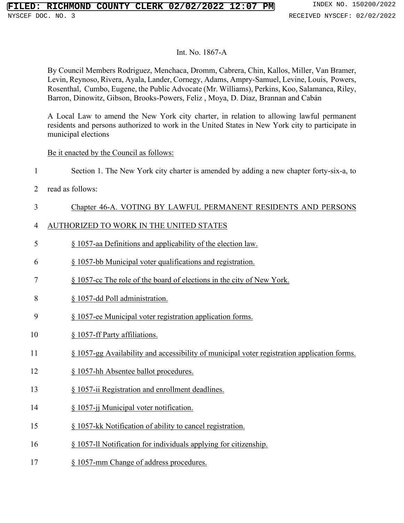#### Int. No. 1867-A

By Council Members Rodriguez, Menchaca, Dromm, Cabrera, Chin, Kallos, Miller, Van Bramer, Levin, Reynoso, Rivera, Ayala, Lander, Cornegy, Adams, Ampry-Samuel, Levine, Louis, Powers, Rosenthal, Cumbo, Eugene, the Public Advocate (Mr. Williams), Perkins, Koo, Salamanca, Riley, Barron, Dinowitz, Gibson, Brooks-Powers, Feliz , Moya, D. Diaz, Brannan and Cabán

A Local Law to amend the New York city charter, in relation to allowing lawful permanent residents and persons authorized to work in the United States in New York city to participate in municipal elections

#### Be it enacted by the Council as follows:

Section 1. The New York city charter is amended by adding a new chapter forty-six-a, to

read as follows:

### Chapter 46-A. VOTING BY LAWFUL PERMANENT RESIDENTS AND PERSONS

### AUTHORIZED TO WORK IN THE UNITED STATES

- § 1057-aa Definitions and applicability of the election law.
- § 1057-bb Municipal voter qualifications and registration.
- § 1057-cc The role of the board of elections in the city of New York.
- § 1057-dd Poll administration.
- § 1057-ee Municipal voter registration application forms.
- § 1057-ff Party affiliations.
- § 1057-gg Availability and accessibility of municipal voter registration application forms.
- § 1057-hh Absentee ballot procedures.
- § 1057-ii Registration and enrollment deadlines.
- § 1057-jj Municipal voter notification.
- § 1057-kk Notification of ability to cancel registration.
- § 1057-ll Notification for individuals applying for citizenship.
- § 1057-mm Change of address procedures.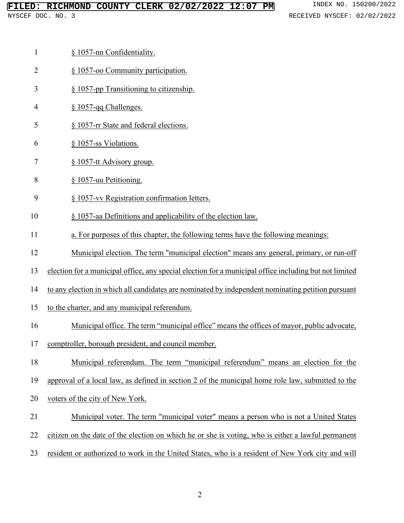### **FILED: RICHMOND COUNTY CLERK 02/02/2022 12:07 PM** INDEX NO. 150200/2022

- § 1057-oo Community participation.
- § 1057-pp Transitioning to citizenship.
- § 1057-qq Challenges.
- § 1057-rr State and federal elections.
- § 1057-ss Violations.
- § 1057-tt Advisory group.
- § 1057-uu Petitioning.
- § 1057-vv Registration confirmation letters.
- § 1057-aa Definitions and applicability of the election law.
- a. For purposes of this chapter, the following terms have the following meanings:
- Municipal election. The term "municipal election" means any general, primary, or run-off
- election for a municipal office, any special election for a municipal office including but not limited
- to any election in which all candidates are nominated by independent nominating petition pursuant
- to the charter, and any municipal referendum.
- Municipal office. The term "municipal office" means the offices of mayor, public advocate,
- comptroller, borough president, and council member.
- Municipal referendum. The term "municipal referendum" means an election for the
- approval of a local law, as defined in section 2 of the municipal home role law, submitted to the
- voters of the city of New York.
- 21 Municipal voter. The term "municipal voter" means a person who is not a United States
- citizen on the date of the election on which he or she is voting, who is either a lawful permanent
- resident or authorized to work in the United States, who is a resident of New York city and will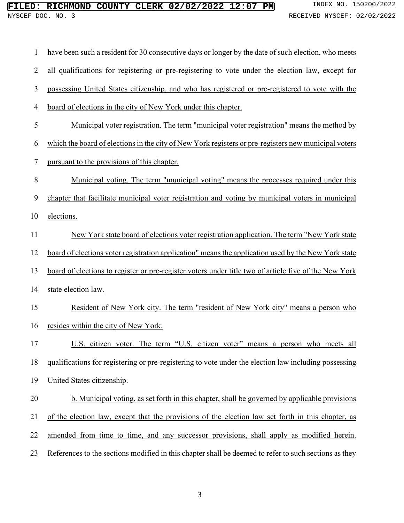| 1              | have been such a resident for 30 consecutive days or longer by the date of such election, who meets   |
|----------------|-------------------------------------------------------------------------------------------------------|
| $\overline{2}$ | all qualifications for registering or pre-registering to vote under the election law, except for      |
| 3              | possessing United States citizenship, and who has registered or pre-registered to vote with the       |
| $\overline{4}$ | board of elections in the city of New York under this chapter.                                        |
| 5              | Municipal voter registration. The term "municipal voter registration" means the method by             |
| 6              | which the board of elections in the city of New York registers or pre-registers new municipal voters  |
| $\tau$         | pursuant to the provisions of this chapter.                                                           |
| 8              | <u>Municipal voting. The term "municipal voting" means the processes required under this</u>          |
| 9              | chapter that facilitate municipal voter registration and voting by municipal voters in municipal      |
| 10             | elections.                                                                                            |
| 11             | New York state board of elections voter registration application. The term "New York state            |
| 12             | board of elections voter registration application" means the application used by the New York state   |
| 13             | board of elections to register or pre-register voters under title two of article five of the New York |
| 14             | state election law.                                                                                   |
| 15             | Resident of New York city. The term "resident of New York city" means a person who                    |
| 16             | resides within the city of New York.                                                                  |
| 17             | U.S. citizen voter. The term "U.S. citizen voter" means a person who meets all                        |
| 18             | qualifications for registering or pre-registering to vote under the election law including possessing |
| 19             | United States citizenship.                                                                            |
| 20             | b. Municipal voting, as set forth in this chapter, shall be governed by applicable provisions         |
| 21             | of the election law, except that the provisions of the election law set forth in this chapter, as     |
| 22             | amended from time to time, and any successor provisions, shall apply as modified herein.              |
| 23             | References to the sections modified in this chapter shall be deemed to refer to such sections as they |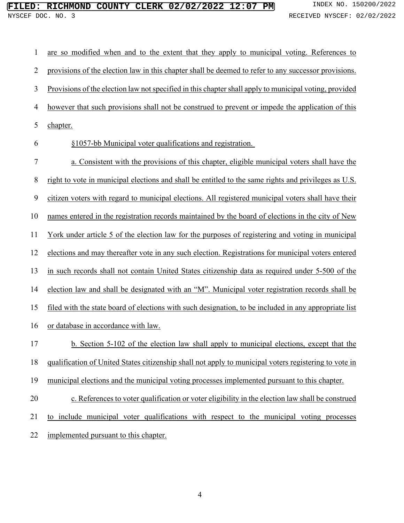| 1              | are so modified when and to the extent that they apply to municipal voting. References to              |
|----------------|--------------------------------------------------------------------------------------------------------|
| $\overline{2}$ | provisions of the election law in this chapter shall be deemed to refer to any successor provisions.   |
| 3              | Provisions of the election law not specified in this chapter shall apply to municipal voting, provided |
| 4              | however that such provisions shall not be construed to prevent or impede the application of this       |
| 5              | chapter.                                                                                               |
| 6              | §1057-bb Municipal voter qualifications and registration.                                              |
| 7              | a. Consistent with the provisions of this chapter, eligible municipal voters shall have the            |
| 8              | right to vote in municipal elections and shall be entitled to the same rights and privileges as U.S.   |
| 9              | citizen voters with regard to municipal elections. All registered municipal voters shall have their    |
| 10             | names entered in the registration records maintained by the board of elections in the city of New      |
| 11             | York under article 5 of the election law for the purposes of registering and voting in municipal       |
| 12             | elections and may thereafter vote in any such election. Registrations for municipal voters entered     |
| 13             | in such records shall not contain United States citizenship data as required under 5-500 of the        |
| 14             | election law and shall be designated with an "M". Municipal voter registration records shall be        |
| 15             | filed with the state board of elections with such designation, to be included in any appropriate list  |
| 16             | or database in accordance with law.                                                                    |
| 17             | b. Section 5-102 of the election law shall apply to municipal elections, except that the               |
| 18             | qualification of United States citizenship shall not apply to municipal voters registering to vote in  |
| 19             | municipal elections and the municipal voting processes implemented pursuant to this chapter.           |
| 20             | c. References to voter qualification or voter eligibility in the election law shall be construed       |
| 21             | to include municipal voter qualifications with respect to the municipal voting processes               |
| 22             | implemented pursuant to this chapter.                                                                  |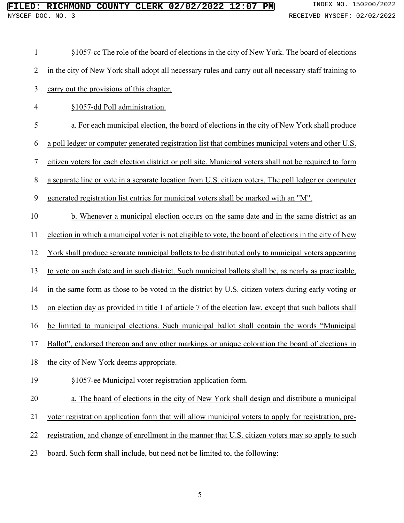| $\mathbf{1}$     | §1057-cc The role of the board of elections in the city of New York. The board of elections             |
|------------------|---------------------------------------------------------------------------------------------------------|
| $\overline{2}$   | in the city of New York shall adopt all necessary rules and carry out all necessary staff training to   |
| 3                | carry out the provisions of this chapter.                                                               |
| $\overline{4}$   | §1057-dd Poll administration.                                                                           |
| 5                | a. For each municipal election, the board of elections in the city of New York shall produce            |
| 6                | a poll ledger or computer generated registration list that combines municipal voters and other U.S.     |
| $\boldsymbol{7}$ | citizen voters for each election district or poll site. Municipal voters shall not be required to form  |
| $8\,$            | a separate line or vote in a separate location from U.S. citizen voters. The poll ledger or computer    |
| $\boldsymbol{9}$ | generated registration list entries for municipal voters shall be marked with an "M".                   |
| 10               | b. Whenever a municipal election occurs on the same date and in the same district as an                 |
| 11               | election in which a municipal voter is not eligible to vote, the board of elections in the city of New  |
| 12               | York shall produce separate municipal ballots to be distributed only to municipal voters appearing      |
| 13               | to vote on such date and in such district. Such municipal ballots shall be, as nearly as practicable,   |
| 14               | in the same form as those to be voted in the district by U.S. citizen voters during early voting or     |
| 15               | on election day as provided in title 1 of article 7 of the election law, except that such ballots shall |
| 16               | be limited to municipal elections. Such municipal ballot shall contain the words "Municipal             |
| 17               | Ballot", endorsed thereon and any other markings or unique coloration the board of elections in         |
| 18               | the city of New York deems appropriate.                                                                 |
| 19               | §1057-ee Municipal voter registration application form.                                                 |
| 20               | a. The board of elections in the city of New York shall design and distribute a municipal               |
| 21               | voter registration application form that will allow municipal voters to apply for registration, pre-    |
| 22               | registration, and change of enrollment in the manner that U.S. citizen voters may so apply to such      |
| 23               | board. Such form shall include, but need not be limited to, the following:                              |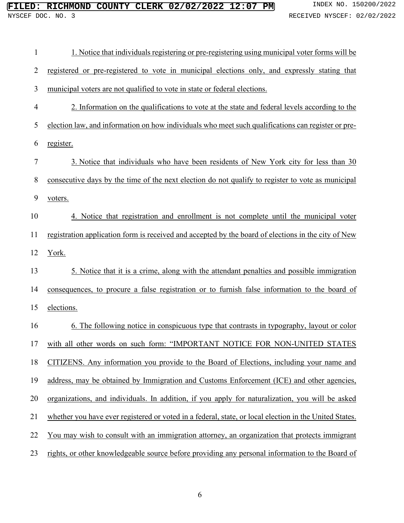| $\mathbf{1}$   | 1. Notice that individuals registering or pre-registering using municipal voter forms will be          |
|----------------|--------------------------------------------------------------------------------------------------------|
| $\overline{2}$ | registered or pre-registered to vote in municipal elections only, and expressly stating that           |
| 3              | municipal voters are not qualified to vote in state or federal elections.                              |
| $\overline{4}$ | 2. Information on the qualifications to vote at the state and federal levels according to the          |
| 5              | election law, and information on how individuals who meet such qualifications can register or pre-     |
| 6              | register.                                                                                              |
| 7              | 3. Notice that individuals who have been residents of New York city for less than 30                   |
| 8              | consecutive days by the time of the next election do not qualify to register to vote as municipal      |
| 9              | voters.                                                                                                |
| 10             | 4. Notice that registration and enrollment is not complete until the municipal voter                   |
| 11             | registration application form is received and accepted by the board of elections in the city of New    |
| 12             | York.                                                                                                  |
| 13             | 5. Notice that it is a crime, along with the attendant penalties and possible immigration              |
| 14             | consequences, to procure a false registration or to furnish false information to the board of          |
| 15             | elections.                                                                                             |
| 16             | 6. The following notice in conspicuous type that contrasts in typography, layout or color              |
| 17             | with all other words on such form: "IMPORTANT NOTICE FOR NON-UNITED STATES                             |
| 18             | CITIZENS. Any information you provide to the Board of Elections, including your name and               |
| 19             | address, may be obtained by Immigration and Customs Enforcement (ICE) and other agencies,              |
| 20             | organizations, and individuals. In addition, if you apply for naturalization, you will be asked        |
| 21             | whether you have ever registered or voted in a federal, state, or local election in the United States. |
| 22             | You may wish to consult with an immigration attorney, an organization that protects immigrant          |
| 23             | rights, or other knowledgeable source before providing any personal information to the Board of        |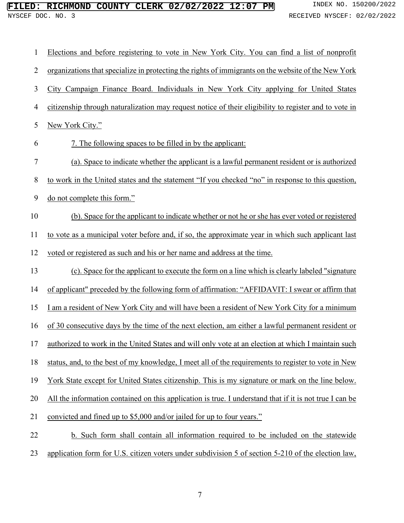| 1              | Elections and before registering to vote in New York City. You can find a list of nonprofit             |
|----------------|---------------------------------------------------------------------------------------------------------|
| $\overline{2}$ | organizations that specialize in protecting the rights of immigrants on the website of the New York     |
| 3              | City Campaign Finance Board. Individuals in New York City applying for United States                    |
| $\overline{4}$ | citizenship through naturalization may request notice of their eligibility to register and to vote in   |
| 5              | New York City."                                                                                         |
| 6              | 7. The following spaces to be filled in by the applicant:                                               |
| 7              | (a). Space to indicate whether the applicant is a lawful permanent resident or is authorized            |
| 8              | to work in the United states and the statement "If you checked "no" in response to this question,       |
| 9              | do not complete this form."                                                                             |
| 10             | (b). Space for the applicant to indicate whether or not he or she has ever voted or registered          |
| 11             | to vote as a municipal voter before and, if so, the approximate year in which such applicant last       |
| 12             | voted or registered as such and his or her name and address at the time.                                |
| 13             | (c). Space for the applicant to execute the form on a line which is clearly labeled "signature"         |
| 14             | of applicant" preceded by the following form of affirmation: "AFFIDAVIT: I swear or affirm that         |
| 15             | I am a resident of New York City and will have been a resident of New York City for a minimum           |
| 16             | of 30 consecutive days by the time of the next election, am either a lawful permanent resident or       |
| 17             | authorized to work in the United States and will only vote at an election at which I maintain such      |
| 18             | status, and, to the best of my knowledge, I meet all of the requirements to register to vote in New     |
| 19             | York State except for United States citizenship. This is my signature or mark on the line below.        |
| 20             | All the information contained on this application is true. I understand that if it is not true I can be |
| 21             | convicted and fined up to \$5,000 and/or jailed for up to four years."                                  |
| 22             | b. Such form shall contain all information required to be included on the statewide                     |
| 23             | application form for U.S. citizen voters under subdivision 5 of section 5-210 of the election law,      |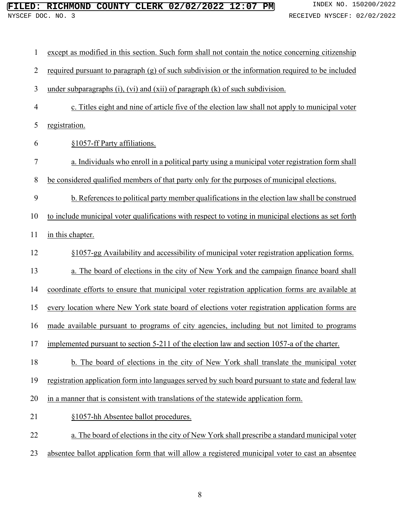| 1              | except as modified in this section. Such form shall not contain the notice concerning citizenship    |
|----------------|------------------------------------------------------------------------------------------------------|
| $\overline{2}$ | required pursuant to paragraph (g) of such subdivision or the information required to be included    |
| 3              | under subparagraphs $(i)$ , $(vi)$ and $(xii)$ of paragraph $(k)$ of such subdivision.               |
| $\overline{4}$ | c. Titles eight and nine of article five of the election law shall not apply to municipal voter      |
| 5              | registration.                                                                                        |
| 6              | §1057-ff Party affiliations.                                                                         |
| 7              | a. Individuals who enroll in a political party using a municipal voter registration form shall       |
| $8\,$          | be considered qualified members of that party only for the purposes of municipal elections.          |
| 9              | b. References to political party member qualifications in the election law shall be construed        |
| 10             | to include municipal voter qualifications with respect to voting in municipal elections as set forth |
| 11             | in this chapter.                                                                                     |
| 12             | §1057-gg Availability and accessibility of municipal voter registration application forms.           |
| 13             | a. The board of elections in the city of New York and the campaign finance board shall               |
| 14             | coordinate efforts to ensure that municipal voter registration application forms are available at    |
| 15             | every location where New York state board of elections voter registration application forms are      |
| 16             | made available pursuant to programs of city agencies, including but not limited to programs          |
| 17             | implemented pursuant to section 5-211 of the election law and section 1057-a of the charter.         |
| 18             | b. The board of elections in the city of New York shall translate the municipal voter                |
| 19             | registration application form into languages served by such board pursuant to state and federal law  |
| 20             | in a manner that is consistent with translations of the statewide application form.                  |
| 21             | §1057-hh Absentee ballot procedures.                                                                 |
| 22             | a. The board of elections in the city of New York shall prescribe a standard municipal voter         |
| 23             | absentee ballot application form that will allow a registered municipal voter to cast an absentee    |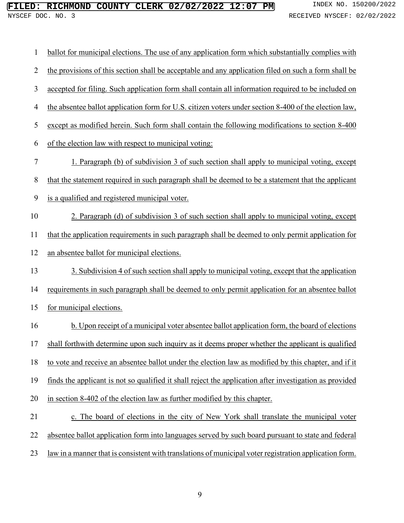| $\mathbf{1}$   | ballot for municipal elections. The use of any application form which substantially complies with       |
|----------------|---------------------------------------------------------------------------------------------------------|
| $\overline{2}$ | the provisions of this section shall be acceptable and any application filed on such a form shall be    |
| 3              | accepted for filing. Such application form shall contain all information required to be included on     |
| 4              | the absentee ballot application form for U.S. citizen voters under section 8-400 of the election law,   |
| 5              | except as modified herein. Such form shall contain the following modifications to section 8-400         |
| 6              | of the election law with respect to municipal voting:                                                   |
| 7              | 1. Paragraph (b) of subdivision 3 of such section shall apply to municipal voting, except               |
| $8\,$          | that the statement required in such paragraph shall be deemed to be a statement that the applicant      |
| 9              | is a qualified and registered municipal voter.                                                          |
| 10             | 2. Paragraph (d) of subdivision 3 of such section shall apply to municipal voting, except               |
| 11             | that the application requirements in such paragraph shall be deemed to only permit application for      |
| 12             | an absentee ballot for municipal elections.                                                             |
| 13             | 3. Subdivision 4 of such section shall apply to municipal voting, except that the application           |
| 14             | requirements in such paragraph shall be deemed to only permit application for an absentee ballot        |
| 15             | for municipal elections.                                                                                |
| 16             | b. Upon receipt of a municipal voter absentee ballot application form, the board of elections           |
| 17             | shall forthwith determine upon such inquiry as it deems proper whether the applicant is qualified       |
| 18             | to vote and receive an absentee ballot under the election law as modified by this chapter, and if it    |
| 19             | finds the applicant is not so qualified it shall reject the application after investigation as provided |
| 20             | in section 8-402 of the election law as further modified by this chapter.                               |
| 21             | c. The board of elections in the city of New York shall translate the municipal voter                   |
| 22             | absentee ballot application form into languages served by such board pursuant to state and federal      |
| 23             | law in a manner that is consistent with translations of municipal voter registration application form.  |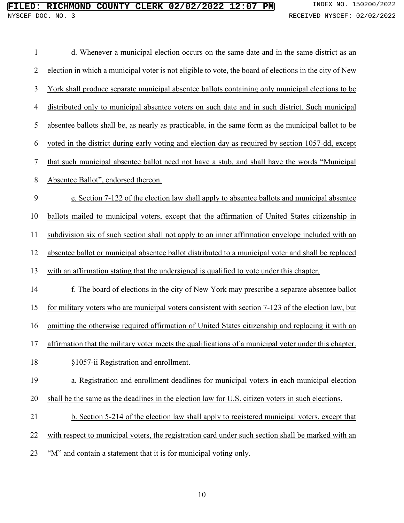| $\mathbf{1}$   | d. Whenever a municipal election occurs on the same date and in the same district as an                |
|----------------|--------------------------------------------------------------------------------------------------------|
| $\overline{2}$ | election in which a municipal voter is not eligible to vote, the board of elections in the city of New |
| 3              | York shall produce separate municipal absentee ballots containing only municipal elections to be       |
| 4              | distributed only to municipal absentee voters on such date and in such district. Such municipal        |
| 5              | absentee ballots shall be, as nearly as practicable, in the same form as the municipal ballot to be    |
| 6              | voted in the district during early voting and election day as required by section 1057-dd, except      |
| 7              | that such municipal absentee ballot need not have a stub, and shall have the words "Municipal          |
| 8              | Absentee Ballot", endorsed thereon.                                                                    |
| 9              | e. Section 7-122 of the election law shall apply to absentee ballots and municipal absentee            |
| 10             | ballots mailed to municipal voters, except that the affirmation of United States citizenship in        |
| 11             | subdivision six of such section shall not apply to an inner affirmation envelope included with an      |
| 12             | absentee ballot or municipal absentee ballot distributed to a municipal voter and shall be replaced    |
| 13             | with an affirmation stating that the undersigned is qualified to vote under this chapter.              |
| 14             | f. The board of elections in the city of New York may prescribe a separate absentee ballot             |
| 15             | for military voters who are municipal voters consistent with section 7-123 of the election law, but    |
| 16             | omitting the otherwise required affirmation of United States citizenship and replacing it with an      |
| 17             | affirmation that the military voter meets the qualifications of a municipal voter under this chapter.  |
| 18             | §1057-ii Registration and enrollment.                                                                  |
| 19             | a. Registration and enrollment deadlines for municipal voters in each municipal election               |
| 20             | shall be the same as the deadlines in the election law for U.S. citizen voters in such elections.      |
| 21             | b. Section 5-214 of the election law shall apply to registered municipal voters, except that           |
| 22             | with respect to municipal voters, the registration card under such section shall be marked with an     |
| 23             | "M" and contain a statement that it is for municipal voting only.                                      |
|                |                                                                                                        |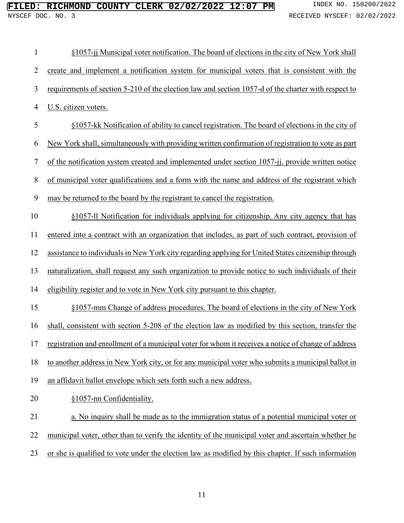| $\mathbf{1}$   | §1057-jj Municipal voter notification. The board of elections in the city of New York shall         |
|----------------|-----------------------------------------------------------------------------------------------------|
| $\overline{2}$ | create and implement a notification system for municipal voters that is consistent with the         |
| 3              | requirements of section 5-210 of the election law and section 1057-d of the charter with respect to |
| 4              | U.S. citizen voters.                                                                                |
| 5              | §1057-kk Notification of ability to cancel registration. The board of elections in the city of      |
| 6              | New York shall, simultaneously with providing written confirmation of registration to vote as part  |
| 7              | of the notification system created and implemented under section 1057-jj, provide written notice    |
| 8              | of municipal voter qualifications and a form with the name and address of the registrant which      |
| 9              | may be returned to the board by the registrant to cancel the registration.                          |
| 10             | §1057-11 Notification for individuals applying for citizenship. Any city agency that has            |
| 11             | entered into a contract with an organization that includes, as part of such contract, provision of  |
| 12             | assistance to individuals in New York city regarding applying for United States citizenship through |
| 13             | naturalization, shall request any such organization to provide notice to such individuals of their  |
| 14             | eligibility register and to vote in New York city pursuant to this chapter.                         |
| 15             | §1057-mm Change of address procedures. The board of elections in the city of New York               |
| 16             | shall, consistent with section 5-208 of the election law as modified by this section, transfer the  |
| 17             | registration and enrollment of a municipal voter for whom it receives a notice of change of address |
| 18             | to another address in New York city, or for any municipal voter who submits a municipal ballot in   |
| 19             | an affidavit ballot envelope which sets forth such a new address.                                   |
| 20             | §1057-nn Confidentiality.                                                                           |
| 21             | a. No inquiry shall be made as to the immigration status of a potential municipal voter or          |
| 22             | municipal voter, other than to verify the identity of the municipal voter and ascertain whether he  |
| 23             | or she is qualified to vote under the election law as modified by this chapter. If such information |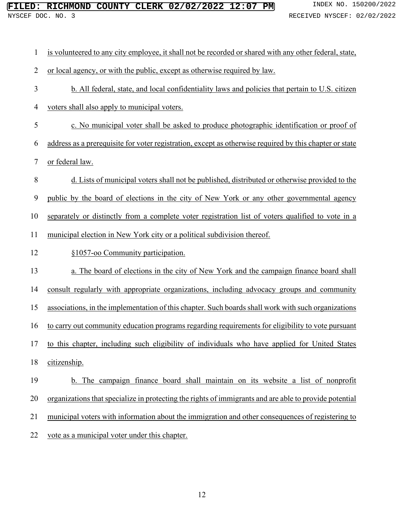| $\mathbf{1}$     | is volunteered to any city employee, it shall not be recorded or shared with any other federal, state,  |
|------------------|---------------------------------------------------------------------------------------------------------|
| $\overline{2}$   | or local agency, or with the public, except as otherwise required by law.                               |
| 3                | b. All federal, state, and local confidentiality laws and policies that pertain to U.S. citizen         |
| 4                | voters shall also apply to municipal voters.                                                            |
| 5                | c. No municipal voter shall be asked to produce photographic identification or proof of                 |
| 6                | address as a prerequisite for voter registration, except as otherwise required by this chapter or state |
| 7                | or federal law.                                                                                         |
| $8\,$            | d. Lists of municipal voters shall not be published, distributed or otherwise provided to the           |
| $\boldsymbol{9}$ | public by the board of elections in the city of New York or any other governmental agency               |
| 10               | separately or distinctly from a complete voter registration list of voters qualified to vote in a       |
| 11               | municipal election in New York city or a political subdivision thereof.                                 |
| 12               | §1057-oo Community participation.                                                                       |
| 13               | a. The board of elections in the city of New York and the campaign finance board shall                  |
| 14               | consult regularly with appropriate organizations, including advocacy groups and community               |
| 15               | associations, in the implementation of this chapter. Such boards shall work with such organizations     |
| 16               | to carry out community education programs regarding requirements for eligibility to vote pursuant       |
| 17               | to this chapter, including such eligibility of individuals who have applied for United States           |
| 18               | citizenship.                                                                                            |
| 19               | b. The campaign finance board shall maintain on its website a list of nonprofit                         |
| 20               | organizations that specialize in protecting the rights of immigrants and are able to provide potential  |
| 21               | municipal voters with information about the immigration and other consequences of registering to        |
| 22               | vote as a municipal voter under this chapter.                                                           |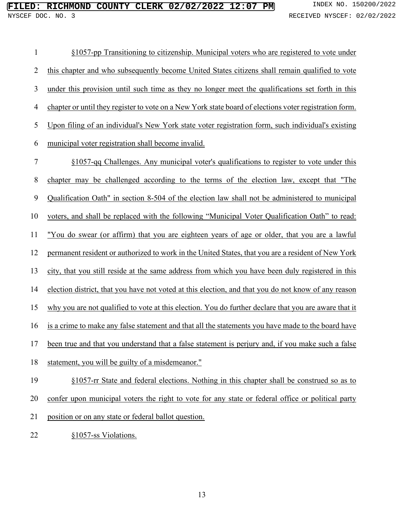| 1              | §1057-pp Transitioning to citizenship. Municipal voters who are registered to vote under               |
|----------------|--------------------------------------------------------------------------------------------------------|
| $\overline{2}$ | this chapter and who subsequently become United States citizens shall remain qualified to vote         |
| 3              | under this provision until such time as they no longer meet the qualifications set forth in this       |
| 4              | chapter or until they register to vote on a New York state board of elections voter registration form. |
| 5              | Upon filing of an individual's New York state voter registration form, such individual's existing      |
| 6              | municipal voter registration shall become invalid.                                                     |
| $\tau$         | §1057-qq Challenges. Any municipal voter's qualifications to register to vote under this               |
| 8              | chapter may be challenged according to the terms of the election law, except that "The                 |
| 9              | Qualification Oath" in section 8-504 of the election law shall not be administered to municipal        |
| 10             | voters, and shall be replaced with the following "Municipal Voter Qualification Oath" to read:         |
| 11             | "You do swear (or affirm) that you are eighteen years of age or older, that you are a lawful           |
| 12             | permanent resident or authorized to work in the United States, that you are a resident of New York     |
| 13             | city, that you still reside at the same address from which you have been duly registered in this       |
| 14             | election district, that you have not voted at this election, and that you do not know of any reason    |
| 15             | why you are not qualified to vote at this election. You do further declare that you are aware that it  |
| 16             | is a crime to make any false statement and that all the statements you have made to the board have     |
| 17             | been true and that you understand that a false statement is perjury and, if you make such a false      |
| 18             | statement, you will be guilty of a misdemeanor."                                                       |
| 19             | §1057-rr State and federal elections. Nothing in this chapter shall be construed so as to              |
| 20             | confer upon municipal voters the right to vote for any state or federal office or political party      |

- 21 position or on any state or federal ballot question.
- §1057-ss Violations.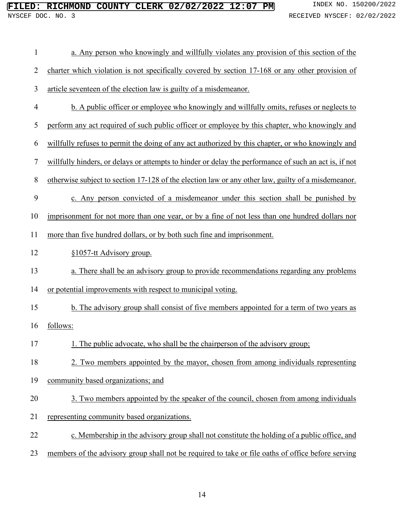| $\mathbf{1}$   | a. Any person who knowingly and willfully violates any provision of this section of the               |
|----------------|-------------------------------------------------------------------------------------------------------|
| $\overline{2}$ | charter which violation is not specifically covered by section 17-168 or any other provision of       |
| 3              | article seventeen of the election law is guilty of a misdemeanor.                                     |
| $\overline{4}$ | b. A public officer or employee who knowingly and willfully omits, refuses or neglects to             |
| 5              | perform any act required of such public officer or employee by this chapter, who knowingly and        |
| 6              | willfully refuses to permit the doing of any act authorized by this chapter, or who knowingly and     |
| 7              | willfully hinders, or delays or attempts to hinder or delay the performance of such an act is, if not |
| $8\,$          | otherwise subject to section 17-128 of the election law or any other law, guilty of a misdemeanor.    |
| 9              | c. Any person convicted of a misdemeanor under this section shall be punished by                      |
| 10             | imprisonment for not more than one year, or by a fine of not less than one hundred dollars nor        |
| 11             | more than five hundred dollars, or by both such fine and imprisonment.                                |
| 12             | §1057-tt Advisory group.                                                                              |
| 13             | a. There shall be an advisory group to provide recommendations regarding any problems                 |
| 14             | or potential improvements with respect to municipal voting.                                           |
| 15             | b. The advisory group shall consist of five members appointed for a term of two years as              |
| 16             | follows:                                                                                              |
| 17             | The public advocate, who shall be the chairperson of the advisory group;                              |
| 18             | 2. Two members appointed by the mayor, chosen from among individuals representing                     |
| 19             | community based organizations; and                                                                    |
| 20             | 3. Two members appointed by the speaker of the council, chosen from among individuals                 |
| 21             | representing community based organizations.                                                           |
| 22             | c. Membership in the advisory group shall not constitute the holding of a public office, and          |
| 23             | members of the advisory group shall not be required to take or file oaths of office before serving    |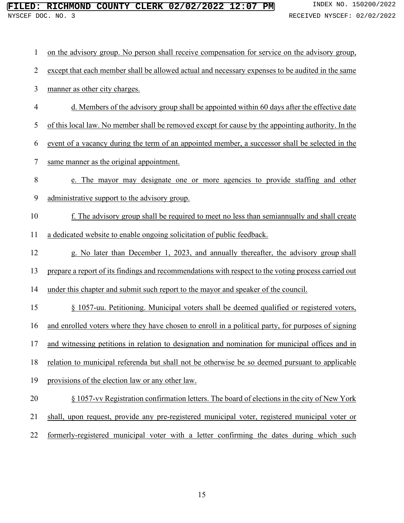| $\mathbf{1}$   | on the advisory group. No person shall receive compensation for service on the advisory group,      |
|----------------|-----------------------------------------------------------------------------------------------------|
| $\overline{2}$ | except that each member shall be allowed actual and necessary expenses to be audited in the same    |
| 3              | manner as other city charges.                                                                       |
| $\overline{4}$ | d. Members of the advisory group shall be appointed within 60 days after the effective date         |
| 5              | of this local law. No member shall be removed except for cause by the appointing authority. In the  |
| 6              | event of a vacancy during the term of an appointed member, a successor shall be selected in the     |
| $\overline{7}$ | same manner as the original appointment.                                                            |
| $\,$ $\,$      | e. The mayor may designate one or more agencies to provide staffing and other                       |
| 9              | administrative support to the advisory group.                                                       |
| 10             | f. The advisory group shall be required to meet no less than semian nually and shall create         |
| 11             | a dedicated website to enable ongoing solicitation of public feedback.                              |
| 12             | g. No later than December 1, 2023, and annually thereafter, the advisory group shall                |
| 13             | prepare a report of its findings and recommendations with respect to the voting process carried out |
| 14             | under this chapter and submit such report to the mayor and speaker of the council.                  |
| 15             | § 1057-uu. Petitioning. Municipal voters shall be deemed qualified or registered voters,            |
| 16             | and enrolled voters where they have chosen to enroll in a political party, for purposes of signing  |
|                | 17 and witnessing petitions in relation to designation and nomination for municipal offices and in  |
| 18             | relation to municipal referenda but shall not be otherwise be so deemed pursuant to applicable      |
| 19             | provisions of the election law or any other law.                                                    |
| 20             | § 1057-vv Registration confirmation letters. The board of elections in the city of New York         |
| 21             | shall, upon request, provide any pre-registered municipal voter, registered municipal voter or      |
| 22             | formerly-registered municipal voter with a letter confirming the dates during which such            |
|                |                                                                                                     |